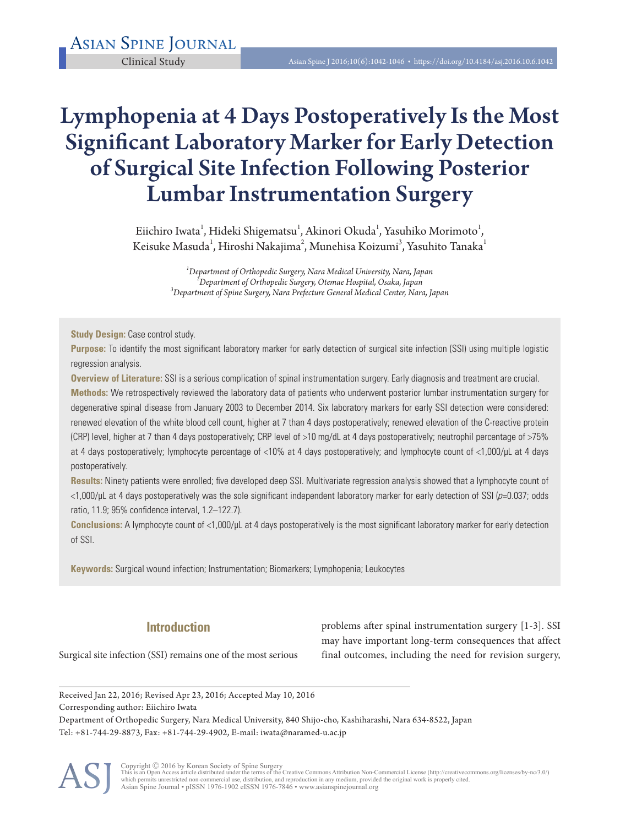# Lymphopenia at 4 Days Postoperatively Is the Most Significant Laboratory Marker for Early Detection of Surgical Site Infection Following Posterior Lumbar Instrumentation Surgery

Eiichiro Iwata $^{\rm l}$ , Hideki Shigematsu $^{\rm l}$ , Akinori Okuda $^{\rm l}$ , Yasuhiko Morimoto $^{\rm l}$ , Keisuke Masuda $^{\rm l}$ , Hiroshi Nakajima $^{\rm 2}$ , Munehisa Koizumi $^{\rm 3}$ , Yasuhito Tanaka $^{\rm l}$ 

> *1 Department of Orthopedic Surgery, Nara Medical University, Nara, Japan <sup>2</sup> Department of Orthopedic Surgery, Otemae Hospital, Osaka, Japan <sup>3</sup> Department of Spine Surgery, Nara Prefecture General Medical Center, Nara, Japan*

**Study Design:** Case control study.

**Purpose:** To identify the most significant laboratory marker for early detection of surgical site infection (SSI) using multiple logistic regression analysis.

**Overview of Literature:** SSI is a serious complication of spinal instrumentation surgery. Early diagnosis and treatment are crucial.

**Methods:** We retrospectively reviewed the laboratory data of patients who underwent posterior lumbar instrumentation surgery for degenerative spinal disease from January 2003 to December 2014. Six laboratory markers for early SSI detection were considered: renewed elevation of the white blood cell count, higher at 7 than 4 days postoperatively; renewed elevation of the C-reactive protein (CRP) level, higher at 7 than 4 days postoperatively; CRP level of >10 mg/dL at 4 days postoperatively; neutrophil percentage of >75% at 4 days postoperatively; lymphocyte percentage of <10% at 4 days postoperatively; and lymphocyte count of <1,000/μL at 4 days postoperatively.

**Results:** Ninety patients were enrolled; five developed deep SSI. Multivariate regression analysis showed that a lymphocyte count of  $<$ 1,000/μL at 4 days postoperatively was the sole significant independent laboratory marker for early detection of SSI ( $p$ =0.037; odds ratio, 11.9; 95% confidence interval, 1.2–122.7).

**Conclusions:** A lymphocyte count of <1,000/μL at 4 days postoperatively is the most significant laboratory marker for early detection of SSI.

**Keywords:** Surgical wound infection; Instrumentation; Biomarkers; Lymphopenia; Leukocytes

## **Introduction**

Surgical site infection (SSI) remains one of the most serious

problems after spinal instrumentation surgery [1-3]. SSI may have important long-term consequences that affect final outcomes, including the need for revision surgery,

Received Jan 22, 2016; Revised Apr 23, 2016; Accepted May 10, 2016 Corresponding author: Eiichiro Iwata

Department of Orthopedic Surgery, Nara Medical University, 840 Shijo-cho, Kashiharashi, Nara 634-8522, Japan Tel: +81-744-29-8873, Fax: +81-744-29-4902, E-mail: iwata@naramed-u.ac.jp



Copyright © 2016 by Korean Society of Spine Surgery<br>This is an Open Access article distributed under the terms of the Creative Commons Attribution Non-Commercial License (http://creativecommons.org/licenses/by-nc/3.0/)<br>whi Asian Spine Journal • pISSN 1976-1902 eISSN 1976-7846 • www.asianspinejournal.org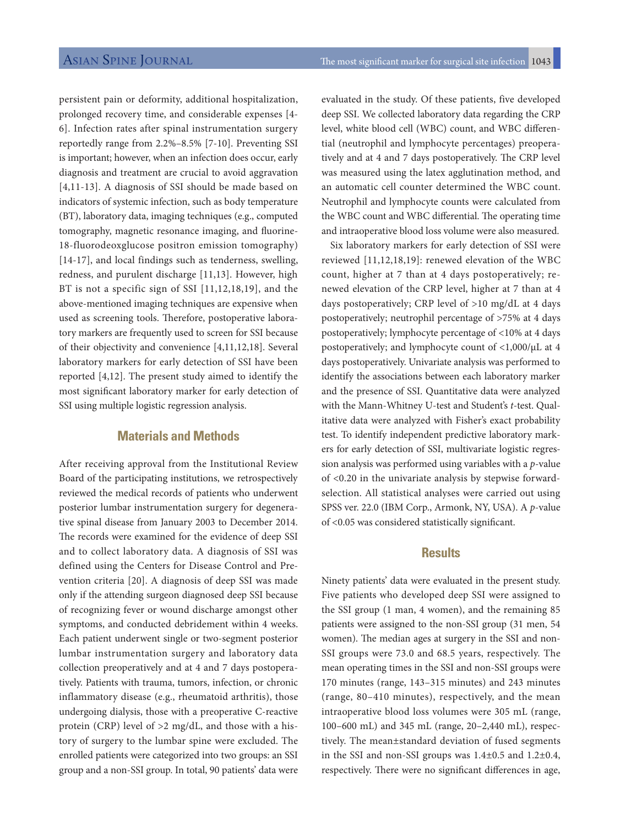persistent pain or deformity, additional hospitalization, prolonged recovery time, and considerable expenses [4- 6]. Infection rates after spinal instrumentation surgery reportedly range from 2.2%–8.5% [7-10]. Preventing SSI is important; however, when an infection does occur, early diagnosis and treatment are crucial to avoid aggravation [4,11-13]. A diagnosis of SSI should be made based on indicators of systemic infection, such as body temperature (BT), laboratory data, imaging techniques (e.g., computed tomography, magnetic resonance imaging, and fluorine-18-fluorodeoxglucose positron emission tomography) [14-17], and local findings such as tenderness, swelling, redness, and purulent discharge [11,13]. However, high BT is not a specific sign of SSI [11,12,18,19], and the above-mentioned imaging techniques are expensive when used as screening tools. Therefore, postoperative laboratory markers are frequently used to screen for SSI because of their objectivity and convenience [4,11,12,18]. Several laboratory markers for early detection of SSI have been reported [4,12]. The present study aimed to identify the most significant laboratory marker for early detection of SSI using multiple logistic regression analysis.

## **Materials and Methods**

After receiving approval from the Institutional Review Board of the participating institutions, we retrospectively reviewed the medical records of patients who underwent posterior lumbar instrumentation surgery for degenerative spinal disease from January 2003 to December 2014. The records were examined for the evidence of deep SSI and to collect laboratory data. A diagnosis of SSI was defined using the Centers for Disease Control and Prevention criteria [20]. A diagnosis of deep SSI was made only if the attending surgeon diagnosed deep SSI because of recognizing fever or wound discharge amongst other symptoms, and conducted debridement within 4 weeks. Each patient underwent single or two-segment posterior lumbar instrumentation surgery and laboratory data collection preoperatively and at 4 and 7 days postoperatively. Patients with trauma, tumors, infection, or chronic inflammatory disease (e.g., rheumatoid arthritis), those undergoing dialysis, those with a preoperative C-reactive protein (CRP) level of >2 mg/dL, and those with a history of surgery to the lumbar spine were excluded. The enrolled patients were categorized into two groups: an SSI group and a non-SSI group. In total, 90 patients' data were

evaluated in the study. Of these patients, five developed deep SSI. We collected laboratory data regarding the CRP level, white blood cell (WBC) count, and WBC differential (neutrophil and lymphocyte percentages) preoperatively and at 4 and 7 days postoperatively. The CRP level was measured using the latex agglutination method, and an automatic cell counter determined the WBC count. Neutrophil and lymphocyte counts were calculated from the WBC count and WBC differential. The operating time and intraoperative blood loss volume were also measured.

Six laboratory markers for early detection of SSI were reviewed [11,12,18,19]: renewed elevation of the WBC count, higher at 7 than at 4 days postoperatively; renewed elevation of the CRP level, higher at 7 than at 4 days postoperatively; CRP level of >10 mg/dL at 4 days postoperatively; neutrophil percentage of >75% at 4 days postoperatively; lymphocyte percentage of <10% at 4 days postoperatively; and lymphocyte count of <1,000/μL at 4 days postoperatively. Univariate analysis was performed to identify the associations between each laboratory marker and the presence of SSI. Quantitative data were analyzed with the Mann-Whitney U-test and Student's *t*-test. Qualitative data were analyzed with Fisher's exact probability test. To identify independent predictive laboratory markers for early detection of SSI, multivariate logistic regression analysis was performed using variables with a *p*-value of <0.20 in the univariate analysis by stepwise forwardselection. All statistical analyses were carried out using SPSS ver. 22.0 (IBM Corp., Armonk, NY, USA). A *p*-value of <0.05 was considered statistically significant.

### **Results**

Ninety patients' data were evaluated in the present study. Five patients who developed deep SSI were assigned to the SSI group (1 man, 4 women), and the remaining 85 patients were assigned to the non-SSI group (31 men, 54 women). The median ages at surgery in the SSI and non-SSI groups were 73.0 and 68.5 years, respectively. The mean operating times in the SSI and non-SSI groups were 170 minutes (range, 143–315 minutes) and 243 minutes (range, 80–410 minutes), respectively, and the mean intraoperative blood loss volumes were 305 mL (range, 100–600 mL) and 345 mL (range, 20–2,440 mL), respectively. The mean±standard deviation of fused segments in the SSI and non-SSI groups was 1.4±0.5 and 1.2±0.4, respectively. There were no significant differences in age,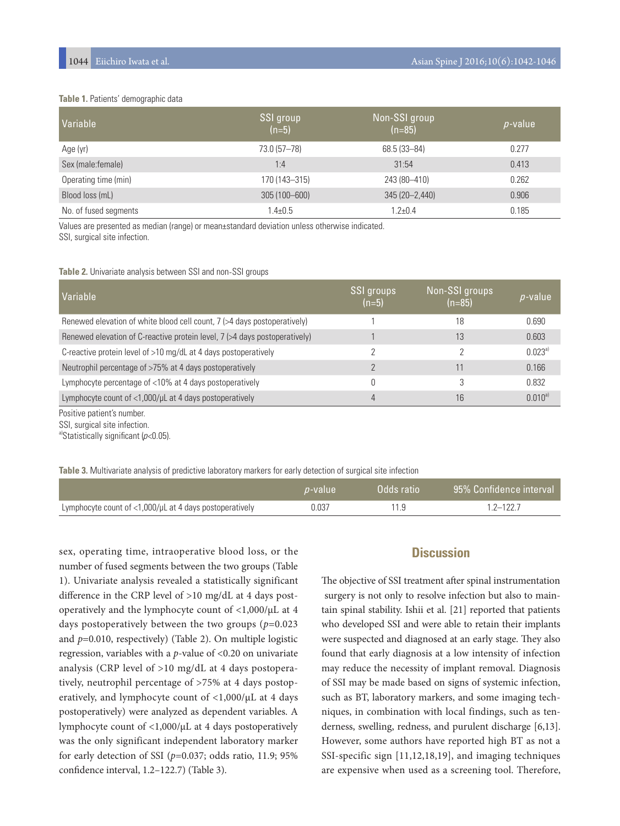#### **Table 1.** Patients' demographic data

| Variable              | SSI group<br>$(n=5)$ | Non-SSI group<br>$(n=85)$ | $p$ -value |
|-----------------------|----------------------|---------------------------|------------|
| Age (yr)              | 73.0 (57-78)         | 68.5 (33-84)              | 0.277      |
| Sex (male: female)    | 1:4                  | 31:54                     | 0.413      |
| Operating time (min)  | 170 (143-315)        | 243 (80-410)              | 0.262      |
| Blood loss (mL)       | 305 (100-600)        | 345 (20-2,440)            | 0.906      |
| No. of fused segments | $1.4 \pm 0.5$        | $1.2 \pm 0.4$             | 0.185      |

Values are presented as median (range) or mean±standard deviation unless otherwise indicated. SSI, surgical site infection.

#### **Table 2.** Univariate analysis between SSI and non-SSI groups

| Variable                                                                   | SSI groups<br>$(n=5)$ | Non-SSI groups<br>$(n=85)$ | <i>p</i> -value |
|----------------------------------------------------------------------------|-----------------------|----------------------------|-----------------|
| Renewed elevation of white blood cell count, 7 (>4 days postoperatively)   |                       | 18                         | 0.690           |
| Renewed elevation of C-reactive protein level, 7 (>4 days postoperatively) |                       | 13                         | 0.603           |
| C-reactive protein level of >10 mg/dL at 4 days postoperatively            |                       | っ                          | $0.023a}$       |
| Neutrophil percentage of >75% at 4 days postoperatively                    |                       | 11                         | 0.166           |
| Lymphocyte percentage of <10% at 4 days postoperatively                    |                       | 3                          | 0.832           |
| Lymphocyte count of <1,000/µL at 4 days postoperatively                    | $\overline{4}$        | 16                         | $0.010^{a}$     |

Positive patient's number.

SSI, surgical site infection.

a)Statistically significant  $(p<0.05)$ .

**Table 3.** Multivariate analysis of predictive laboratory markers for early detection of surgical site infection

|                                                                  | <i>p</i> -value | Odds ratio | 95% Confidence interval |
|------------------------------------------------------------------|-----------------|------------|-------------------------|
| Lymphocyte count of $<$ 1,000/ $\mu$ L at 4 days postoperatively | 0.037           |            | 1 2–122 7               |

sex, operating time, intraoperative blood loss, or the number of fused segments between the two groups (Table 1). Univariate analysis revealed a statistically significant difference in the CRP level of >10 mg/dL at 4 days postoperatively and the lymphocyte count of <1,000/μL at 4 days postoperatively between the two groups (*p*=0.023 and *p*=0.010, respectively) (Table 2). On multiple logistic regression, variables with a *p*-value of <0.20 on univariate analysis (CRP level of >10 mg/dL at 4 days postoperatively, neutrophil percentage of >75% at 4 days postoperatively, and lymphocyte count of <1,000/μL at 4 days postoperatively) were analyzed as dependent variables. A lymphocyte count of <1,000/μL at 4 days postoperatively was the only significant independent laboratory marker for early detection of SSI (*p*=0.037; odds ratio, 11.9; 95% confidence interval, 1.2–122.7) (Table 3).

## **Discussion**

The objective of SSI treatment after spinal instrumentation surgery is not only to resolve infection but also to maintain spinal stability. Ishii et al. [21] reported that patients who developed SSI and were able to retain their implants were suspected and diagnosed at an early stage. They also found that early diagnosis at a low intensity of infection may reduce the necessity of implant removal. Diagnosis of SSI may be made based on signs of systemic infection, such as BT, laboratory markers, and some imaging techniques, in combination with local findings, such as tenderness, swelling, redness, and purulent discharge [6,13]. However, some authors have reported high BT as not a SSI-specific sign [11,12,18,19], and imaging techniques are expensive when used as a screening tool. Therefore,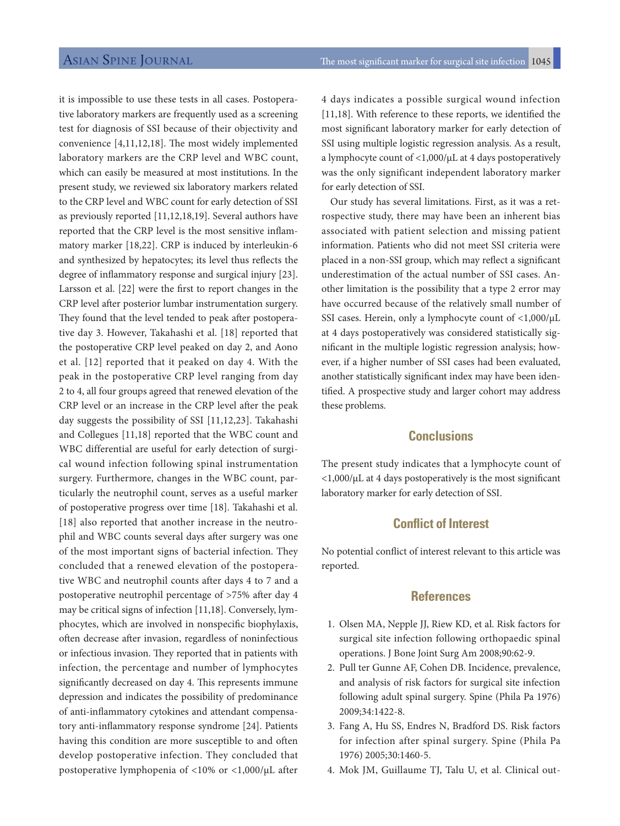it is impossible to use these tests in all cases. Postoperative laboratory markers are frequently used as a screening test for diagnosis of SSI because of their objectivity and convenience [4,11,12,18]. The most widely implemented laboratory markers are the CRP level and WBC count, which can easily be measured at most institutions. In the present study, we reviewed six laboratory markers related to the CRP level and WBC count for early detection of SSI as previously reported [11,12,18,19]. Several authors have reported that the CRP level is the most sensitive inflammatory marker [18,22]. CRP is induced by interleukin-6 and synthesized by hepatocytes; its level thus reflects the degree of inflammatory response and surgical injury [23]. Larsson et al. [22] were the first to report changes in the CRP level after posterior lumbar instrumentation surgery. They found that the level tended to peak after postoperative day 3. However, Takahashi et al. [18] reported that the postoperative CRP level peaked on day 2, and Aono et al. [12] reported that it peaked on day 4. With the peak in the postoperative CRP level ranging from day 2 to 4, all four groups agreed that renewed elevation of the CRP level or an increase in the CRP level after the peak day suggests the possibility of SSI [11,12,23]. Takahashi and Collegues [11,18] reported that the WBC count and WBC differential are useful for early detection of surgical wound infection following spinal instrumentation surgery. Furthermore, changes in the WBC count, particularly the neutrophil count, serves as a useful marker of postoperative progress over time [18]. Takahashi et al. [18] also reported that another increase in the neutrophil and WBC counts several days after surgery was one of the most important signs of bacterial infection. They concluded that a renewed elevation of the postoperative WBC and neutrophil counts after days 4 to 7 and a postoperative neutrophil percentage of >75% after day 4 may be critical signs of infection [11,18]. Conversely, lymphocytes, which are involved in nonspecific biophylaxis, often decrease after invasion, regardless of noninfectious or infectious invasion. They reported that in patients with infection, the percentage and number of lymphocytes significantly decreased on day 4. This represents immune depression and indicates the possibility of predominance of anti-inflammatory cytokines and attendant compensatory anti-inflammatory response syndrome [24]. Patients having this condition are more susceptible to and often develop postoperative infection. They concluded that postoperative lymphopenia of <10% or <1,000/μL after

4 days indicates a possible surgical wound infection [11,18]. With reference to these reports, we identified the most significant laboratory marker for early detection of SSI using multiple logistic regression analysis. As a result, a lymphocyte count of <1,000/μL at 4 days postoperatively was the only significant independent laboratory marker for early detection of SSI.

Our study has several limitations. First, as it was a retrospective study, there may have been an inherent bias associated with patient selection and missing patient information. Patients who did not meet SSI criteria were placed in a non-SSI group, which may reflect a significant underestimation of the actual number of SSI cases. Another limitation is the possibility that a type 2 error may have occurred because of the relatively small number of SSI cases. Herein, only a lymphocyte count of <1,000/μL at 4 days postoperatively was considered statistically significant in the multiple logistic regression analysis; however, if a higher number of SSI cases had been evaluated, another statistically significant index may have been identified. A prospective study and larger cohort may address these problems.

## **Conclusions**

The present study indicates that a lymphocyte count of <1,000/μL at 4 days postoperatively is the most significant laboratory marker for early detection of SSI.

## **Conflict of Interest**

No potential conflict of interest relevant to this article was reported.

## **References**

- 1. Olsen MA, Nepple JJ, Riew KD, et al. Risk factors for surgical site infection following orthopaedic spinal operations. J Bone Joint Surg Am 2008;90:62-9.
- 2. Pull ter Gunne AF, Cohen DB. Incidence, prevalence, and analysis of risk factors for surgical site infection following adult spinal surgery. Spine (Phila Pa 1976) 2009;34:1422-8.
- 3. Fang A, Hu SS, Endres N, Bradford DS. Risk factors for infection after spinal surgery. Spine (Phila Pa 1976) 2005;30:1460-5.
- 4. Mok JM, Guillaume TJ, Talu U, et al. Clinical out-